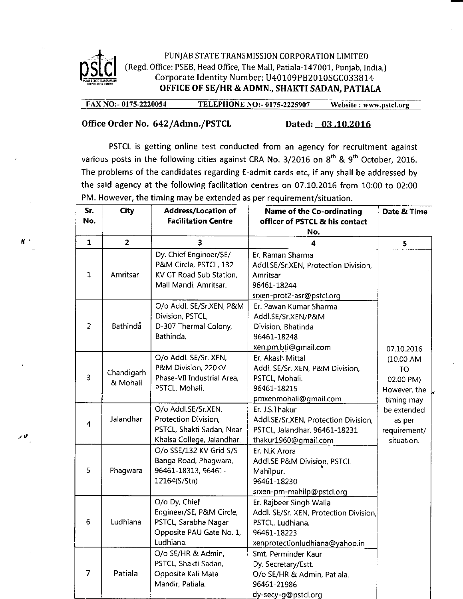

4'

## PUNJAB STATE TRANSMISSION CORPORATION LIMITED [Regd. Office: PSEB, Head Office, The Mall, Patiala-147001, Punjab, India,J Corporate Identity Number: U40109PB2010SGC033814 OFFICE OF SE/HR&ADMN., SHAKTI SADAN, PATIALA

FAX NO:- 0175-2220054 TELEPHONE NO:- 0175-2225907 Website : www.pstcl.org

## Office Order No. 642/Admn./PSTCL Dated: 03.10.2016

PSTCL is getting online test conducted from an agency for recruitment against various posts in the following cities against CRA No.  $3/2016$  on  $8<sup>th</sup>$  &  $9<sup>th</sup>$  October, 2016. The problems of the candidates regarding E-admit cards etc, if any shall be addressed by the said agency at the following facilitation centres on 07.LO.2OLG from 10:00 to 02:00 PM. However, the timing may be extended as per requirement/situation.

| Sr.<br>No.              | <b>City</b>            | <b>Address/Location of</b><br><b>Facilitation Centre</b>                                                   | <b>Name of the Co-ordinating</b><br>officer of PSTCL & his contact<br>No.                                                              | Date & Time                                                                                                                               |
|-------------------------|------------------------|------------------------------------------------------------------------------------------------------------|----------------------------------------------------------------------------------------------------------------------------------------|-------------------------------------------------------------------------------------------------------------------------------------------|
| $\mathbf{1}$            | $\overline{2}$         | 3                                                                                                          | 4                                                                                                                                      | 5                                                                                                                                         |
| $\mathbf{1}$            | Amritsar               | Dy. Chief Engineer/SE/<br>P&M Circle, PSTCL, 132<br>KV GT Road Sub Station,<br>Mall Mandi, Amritsar.       | Er. Raman Sharma<br>Addl.SE/Sr.XEN, Protection Division,<br>Amritsar<br>96461-18244<br>srxen-prot2-asr@pstcl.org                       | 07.10.2016<br>$(10.00 A$ M<br><b>TO</b><br>02.00 PM)<br>However, the<br>timing may<br>be extended<br>as per<br>requirement/<br>situation. |
| $\overline{2}$          | <b>Bathinda</b>        | O/o Addl. SE/Sr.XEN, P&M<br>Division, PSTCL,<br>D-307 Thermal Colony,<br>Bathinda.                         | Er. Pawan Kumar Sharma<br>Addl.SE/Sr.XEN/P&M<br>Division, Bhatinda<br>96461-18248<br>xen.pm.bti@gmail.com                              |                                                                                                                                           |
| 3                       | Chandigarh<br>& Mohali | O/o Addl. SE/Sr. XEN,<br>P&M Division, 220KV<br>Phase-VII Industrial Area,<br>PSTCL, Mohali.               | Er. Akash Mittal<br>Addl. SE/Sr. XEN, P&M Division,<br>PSTCL, Mohali.<br>96461-18215<br>pmxenmohali@gmail.com                          |                                                                                                                                           |
| $\overline{\mathbf{4}}$ | Jalandhar              | O/o Addl.SE/Sr.XEN,<br>Protection Division,<br>PSTCL, Shakti Sadan, Near<br>Khalsa College, Jalandhar.     | Er. J.S.Thakur<br>Addl.SE/Sr.XEN, Protection Division,<br>PSTCL, Jalandhar. 96461-18231<br>thakur1960@gmail.com                        |                                                                                                                                           |
| 5                       | Phagwara               | O/o SSE/132 KV Grid S/S<br>Banga Road, Phagwara.<br>96461-18313, 96461-<br>12164(S/Stn)                    | Er. N.K Arora<br>Addl.SE P&M Division, PSTCL<br>Mahilpur.<br>96461-18230<br>srxen-pm-mahilp@pstcl.org                                  |                                                                                                                                           |
| $6\phantom{1}$          | Ludhiana               | O/o Dy. Chief<br>Engineer/SE, P&M Circle,<br>PSTCL, Sarabha Nagar<br>Opposite PAU Gate No. 1,<br>Ludhiana. | Er. Rajbeer Singh Walia<br>Addl. SE/Sr. XEN, Protection Division,<br>PSTCL, Ludhiana.<br>96461-18223<br>xenprotectionludhiana@yahoo.in |                                                                                                                                           |
| $\overline{7}$          | Patiala                | O/o SE/HR & Admin,<br>PSTCL, Shakti Sadan,<br>Opposite Kali Mata<br>Mandir, Patiala.                       | Smt. Perminder Kaur<br>Dy. Secretary/Estt.<br>O/o SE/HR & Admin, Patiala.<br>96461-21986<br>dy-secy-g@pstcl.org                        |                                                                                                                                           |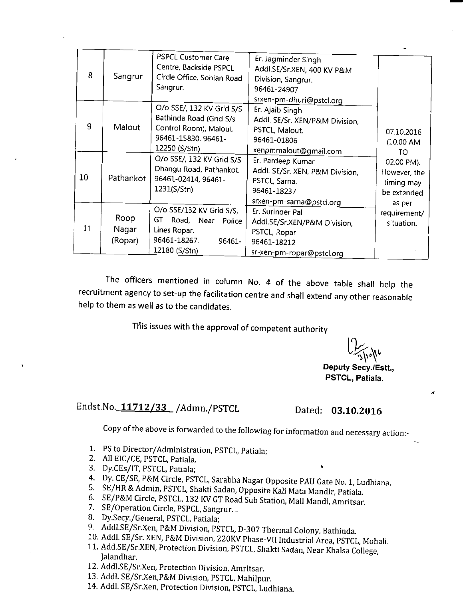| 8  | Sangrur                  | PSPCL Customer Care<br>Centre, Backside PSPCL<br>Circle Office, Sohian Road<br>Sangrur.                                | Er. Jagminder Singh<br>Addl.SE/Sr.XEN, 400 KV P&M<br>Division, Sangrur.<br>96461-24907<br>srxen-pm-dhuri@pstcl.org |                                                                                          |
|----|--------------------------|------------------------------------------------------------------------------------------------------------------------|--------------------------------------------------------------------------------------------------------------------|------------------------------------------------------------------------------------------|
| 9  | Malout                   | O/o SSE/, 132 KV Grid S/S<br>Bathinda Road (Grid S/s<br>Control Room), Malout.<br>96461-15830, 96461-<br>12250 (S/Stn) | Er. Ajaib Singh<br>Addl. SE/Sr. XEN/P&M Division,<br>PSTCL, Malout.<br>96461-01806<br>xenpmmalout@gmail.com        | 07.10.2016<br>(10.00 A)<br>TO<br>02.00 PM).<br>However, the<br>timing may<br>be extended |
| 10 | Pathankot                | O/o SSE/, 132 KV Grid S/S<br>Dhangu Road, Pathankot.<br>96461-02414, 96461-<br>1231(S/Stn)                             | Er. Pardeep Kumar<br>Addl. SE/Sr. XEN, P&M Division,<br>PSTCL, Sarna.<br>96461-18237<br>srxen-pm-sarna@pstcl.org   |                                                                                          |
| 11 | Roop<br>Nagar<br>(Ropar) | O/o SSE/132 KV Grid S/S,<br>GT.<br>Road, Near<br>Police<br>Lines Ropar.<br>96461-18267,<br>96461-<br>12180 (S/Stn)     | Er. Surinder Pal<br>Addl.SE/Sr.XEN/P&M Division,<br>PSTCL, Ropar<br>96461-18212<br>sr-xen-pm-ropar@pstcl.org       | as per<br>requirement/<br>situation.                                                     |

The officers mentioned in column No. 4 of the above table shall help the recruitment agency to set-up the facilitation centre and shall extend any other reasonable help to them as well as to the candidates.

This issues with the approval of competent authority

 $\bigcup_{\gamma\in\mathcal{N}^*}$ 

Deputy Secy./Estt., PSTCL, Patiala.

## Endst.No. 11712/33 / Admn./PSTCL Dated: 03.10.2016

Copy of the above is forwarded to the following for information and necessary action:-

- 1. PS to Director/Administration, PSTCL, Patiala;
- 2. All EIC/CE, PSTCL, pariala.
- 3. Dy.CEs/lT, PSTCL, patiala; <sup>t</sup>
- 4. Dy. CE/SE, P&M Circle, PSTCL, Sarabha Nagar Opposite PAU Gate No. 1, Ludhiana.<br>5. SE/HR & Admin, PSTCL, Shakti Sadan, Opposite Kali Mata Mandir, Patiala.<br>6. SE/P&M Circle, PSTCL, 132 KV GT Road Sub Station, Mall Mandi,
- 
- 
- 
- 8. Dy.Secy./General, PSTCL, Patiala;
- 9. Addl.SE/Sr.Xen, P&M Division, PSTCL, D-307 Thermal Colony, Bathinda.
- 10. Addl. SE/Sr. XEN, P&M Division, 220KV Phase-VII Industrial Area, PSTCL, Mohali. 11. Add.SE/Sr.XEN, Protection Division, PSTCL, Shakti Sadan, Near Khalsa College, Jalandhar.
- 12. Addl.SE/Sr.Xen, Protection Division, Amritsar.
- 13. Addl. SE/Sr.Xen,P&M Division, pSTCL, Mahilpur.
- 14. Addl. SE/Sr.Xen, protection Division, pSTCL, Ludhiana.